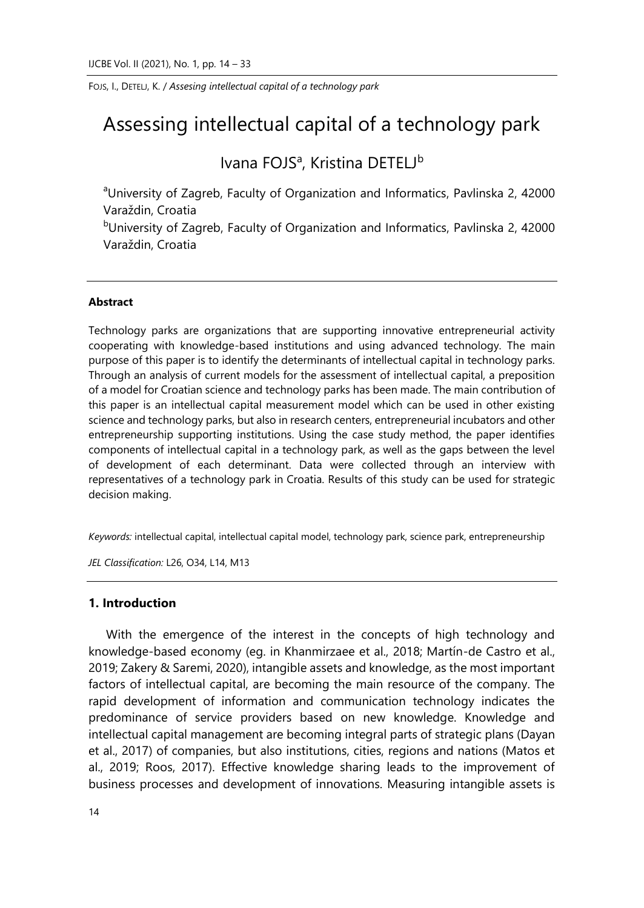# Assessing intellectual capital of a technology park

Ivana FOJS<sup>a</sup>, Kristina DETELJ<sup>b</sup>

<sup>a</sup>University of Zagreb, Faculty of Organization and Informatics, Pavlinska 2, 42000 Varaždin, Croatia

<sup>b</sup>University of Zagreb, Faculty of Organization and Informatics, Pavlinska 2, 42000 Varaždin, Croatia

#### **Abstract**

Technology parks are organizations that are supporting innovative entrepreneurial activity cooperating with knowledge-based institutions and using advanced technology. The main purpose of this paper is to identify the determinants of intellectual capital in technology parks. Through an analysis of current models for the assessment of intellectual capital, a preposition of a model for Croatian science and technology parks has been made. The main contribution of this paper is an intellectual capital measurement model which can be used in other existing science and technology parks, but also in research centers, entrepreneurial incubators and other entrepreneurship supporting institutions. Using the case study method, the paper identifies components of intellectual capital in a technology park, as well as the gaps between the level of development of each determinant. Data were collected through an interview with representatives of a technology park in Croatia. Results of this study can be used for strategic decision making.

*Keywords:* intellectual capital, intellectual capital model, technology park, science park, entrepreneurship

*JEL Classification:* L26, O34, L14, M13

# **1. Introduction**

With the emergence of the interest in the concepts of high technology and knowledge-based economy (eg. in Khanmirzaee et al., 2018; Martín-de Castro et al., 2019; Zakery & Saremi, 2020), intangible assets and knowledge, as the most important factors of intellectual capital, are becoming the main resource of the company. The rapid development of information and communication technology indicates the predominance of service providers based on new knowledge. Knowledge and intellectual capital management are becoming integral parts of strategic plans (Dayan et al., 2017) of companies, but also institutions, cities, regions and nations (Matos et al., 2019; Roos, 2017). Effective knowledge sharing leads to the improvement of business processes and development of innovations. Measuring intangible assets is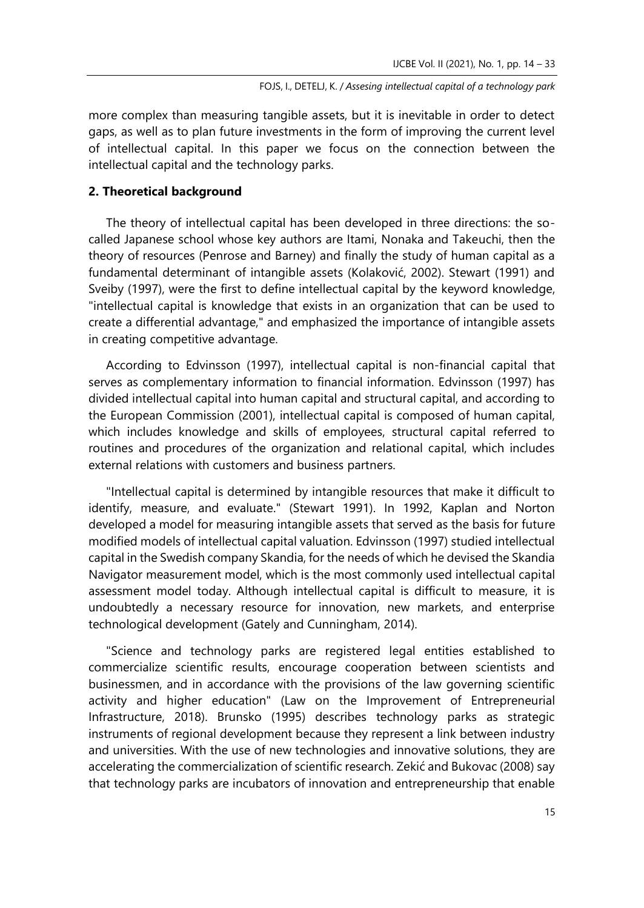more complex than measuring tangible assets, but it is inevitable in order to detect gaps, as well as to plan future investments in the form of improving the current level of intellectual capital. In this paper we focus on the connection between the intellectual capital and the technology parks.

# **2. Theoretical background**

The theory of intellectual capital has been developed in three directions: the socalled Japanese school whose key authors are Itami, Nonaka and Takeuchi, then the theory of resources (Penrose and Barney) and finally the study of human capital as a fundamental determinant of intangible assets (Kolaković, 2002). Stewart (1991) and Sveiby (1997), were the first to define intellectual capital by the keyword knowledge, "intellectual capital is knowledge that exists in an organization that can be used to create a differential advantage," and emphasized the importance of intangible assets in creating competitive advantage.

According to Edvinsson (1997), intellectual capital is non-financial capital that serves as complementary information to financial information. Edvinsson (1997) has divided intellectual capital into human capital and structural capital, and according to the European Commission (2001), intellectual capital is composed of human capital, which includes knowledge and skills of employees, structural capital referred to routines and procedures of the organization and relational capital, which includes external relations with customers and business partners.

"Intellectual capital is determined by intangible resources that make it difficult to identify, measure, and evaluate." (Stewart 1991). In 1992, Kaplan and Norton developed a model for measuring intangible assets that served as the basis for future modified models of intellectual capital valuation. Edvinsson (1997) studied intellectual capital in the Swedish company Skandia, for the needs of which he devised the Skandia Navigator measurement model, which is the most commonly used intellectual capital assessment model today. Although intellectual capital is difficult to measure, it is undoubtedly a necessary resource for innovation, new markets, and enterprise technological development (Gately and Cunningham, 2014).

"Science and technology parks are registered legal entities established to commercialize scientific results, encourage cooperation between scientists and businessmen, and in accordance with the provisions of the law governing scientific activity and higher education" (Law on the Improvement of Entrepreneurial Infrastructure, 2018). Brunsko (1995) describes technology parks as strategic instruments of regional development because they represent a link between industry and universities. With the use of new technologies and innovative solutions, they are accelerating the commercialization of scientific research. Zekić and Bukovac (2008) say that technology parks are incubators of innovation and entrepreneurship that enable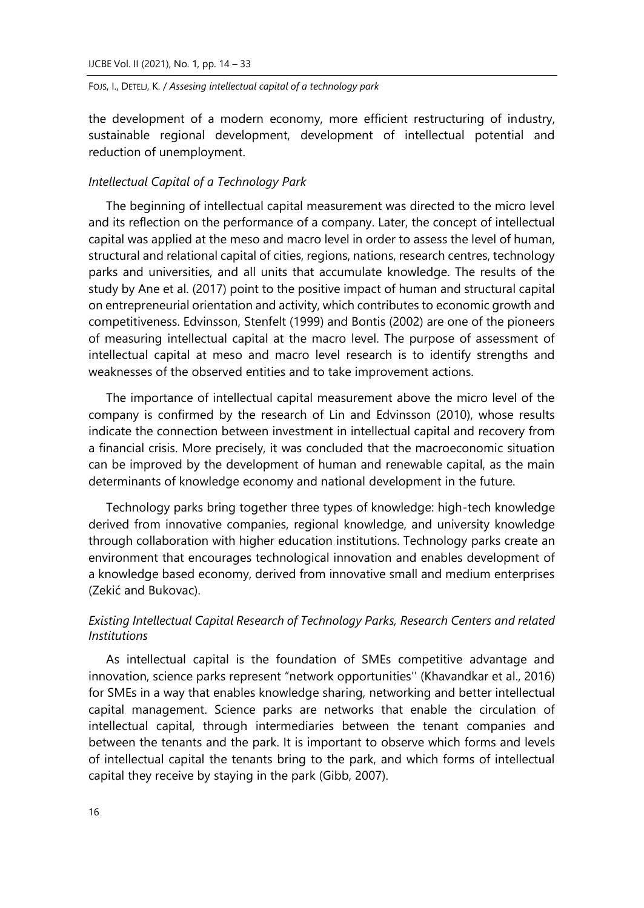the development of a modern economy, more efficient restructuring of industry, sustainable regional development, development of intellectual potential and reduction of unemployment.

# *Intellectual Capital of a Technology Park*

The beginning of intellectual capital measurement was directed to the micro level and its reflection on the performance of a company. Later, the concept of intellectual capital was applied at the meso and macro level in order to assess the level of human, structural and relational capital of cities, regions, nations, research centres, technology parks and universities, and all units that accumulate knowledge. The results of the study by Ane et al. (2017) point to the positive impact of human and structural capital on entrepreneurial orientation and activity, which contributes to economic growth and competitiveness. Edvinsson, Stenfelt (1999) and Bontis (2002) are one of the pioneers of measuring intellectual capital at the macro level. The purpose of assessment of intellectual capital at meso and macro level research is to identify strengths and weaknesses of the observed entities and to take improvement actions.

The importance of intellectual capital measurement above the micro level of the company is confirmed by the research of Lin and Edvinsson (2010), whose results indicate the connection between investment in intellectual capital and recovery from a financial crisis. More precisely, it was concluded that the macroeconomic situation can be improved by the development of human and renewable capital, as the main determinants of knowledge economy and national development in the future.

Technology parks bring together three types of knowledge: high-tech knowledge derived from innovative companies, regional knowledge, and university knowledge through collaboration with higher education institutions. Technology parks create an environment that encourages technological innovation and enables development of a knowledge based economy, derived from innovative small and medium enterprises (Zekić and Bukovac).

# *Existing Intellectual Capital Research of Technology Parks, Research Centers and related Institutions*

As intellectual capital is the foundation of SMEs competitive advantage and innovation, science parks represent "network opportunities'' (Khavandkar et al., 2016) for SMEs in a way that enables knowledge sharing, networking and better intellectual capital management. Science parks are networks that enable the circulation of intellectual capital, through intermediaries between the tenant companies and between the tenants and the park. It is important to observe which forms and levels of intellectual capital the tenants bring to the park, and which forms of intellectual capital they receive by staying in the park (Gibb, 2007).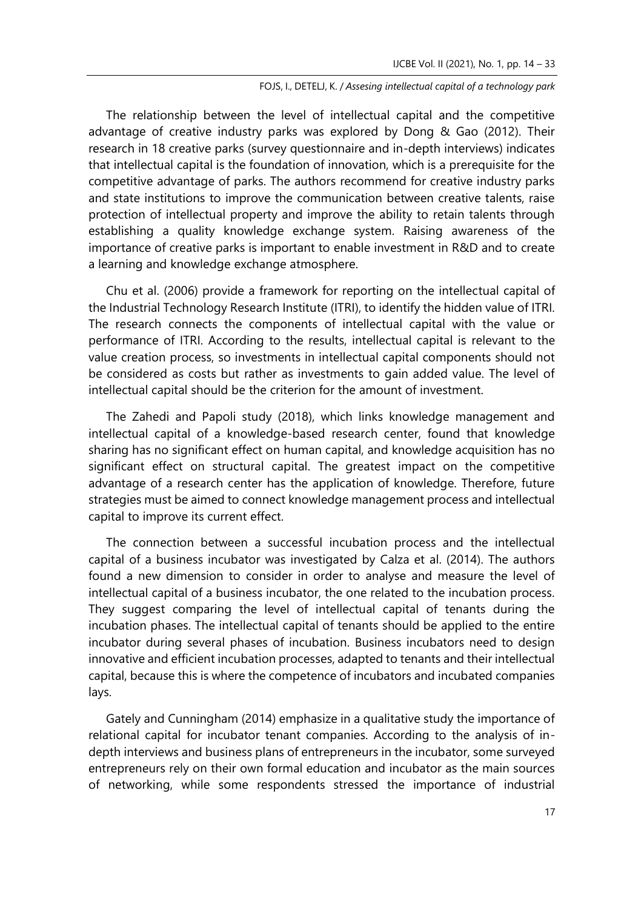The relationship between the level of intellectual capital and the competitive advantage of creative industry parks was explored by Dong & Gao (2012). Their research in 18 creative parks (survey questionnaire and in-depth interviews) indicates that intellectual capital is the foundation of innovation, which is a prerequisite for the competitive advantage of parks. The authors recommend for creative industry parks and state institutions to improve the communication between creative talents, raise protection of intellectual property and improve the ability to retain talents through establishing a quality knowledge exchange system. Raising awareness of the importance of creative parks is important to enable investment in R&D and to create a learning and knowledge exchange atmosphere.

Chu et al. (2006) provide a framework for reporting on the intellectual capital of the Industrial Technology Research Institute (ITRI), to identify the hidden value of ITRI. The research connects the components of intellectual capital with the value or performance of ITRI. According to the results, intellectual capital is relevant to the value creation process, so investments in intellectual capital components should not be considered as costs but rather as investments to gain added value. The level of intellectual capital should be the criterion for the amount of investment.

The Zahedi and Papoli study (2018), which links knowledge management and intellectual capital of a knowledge-based research center, found that knowledge sharing has no significant effect on human capital, and knowledge acquisition has no significant effect on structural capital. The greatest impact on the competitive advantage of a research center has the application of knowledge. Therefore, future strategies must be aimed to connect knowledge management process and intellectual capital to improve its current effect.

The connection between a successful incubation process and the intellectual capital of a business incubator was investigated by Calza et al. (2014). The authors found a new dimension to consider in order to analyse and measure the level of intellectual capital of a business incubator, the one related to the incubation process. They suggest comparing the level of intellectual capital of tenants during the incubation phases. The intellectual capital of tenants should be applied to the entire incubator during several phases of incubation. Business incubators need to design innovative and efficient incubation processes, adapted to tenants and their intellectual capital, because this is where the competence of incubators and incubated companies lays.

Gately and Cunningham (2014) emphasize in a qualitative study the importance of relational capital for incubator tenant companies. According to the analysis of indepth interviews and business plans of entrepreneurs in the incubator, some surveyed entrepreneurs rely on their own formal education and incubator as the main sources of networking, while some respondents stressed the importance of industrial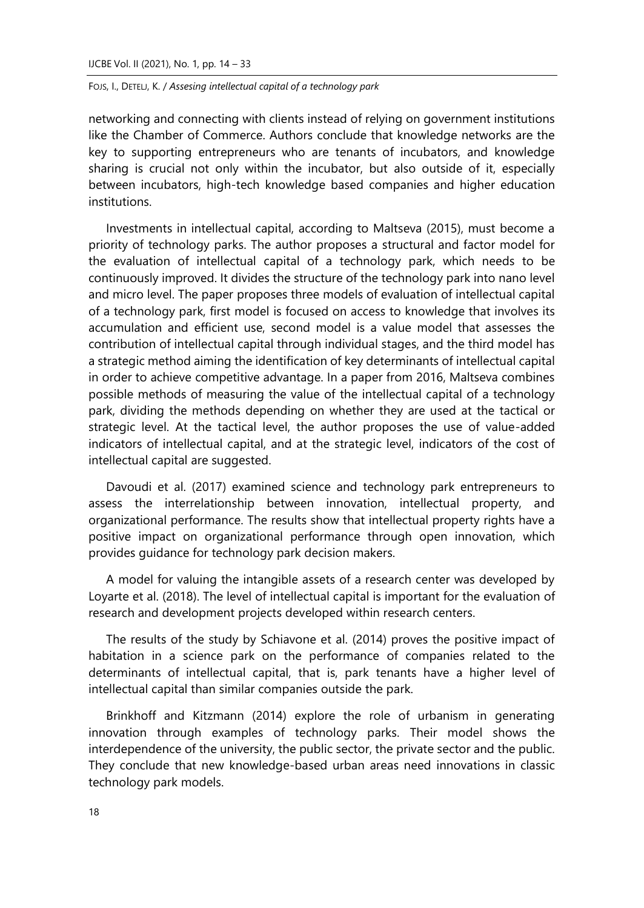networking and connecting with clients instead of relying on government institutions like the Chamber of Commerce. Authors conclude that knowledge networks are the key to supporting entrepreneurs who are tenants of incubators, and knowledge sharing is crucial not only within the incubator, but also outside of it, especially between incubators, high-tech knowledge based companies and higher education institutions.

Investments in intellectual capital, according to Maltseva (2015), must become a priority of technology parks. The author proposes a structural and factor model for the evaluation of intellectual capital of a technology park, which needs to be continuously improved. It divides the structure of the technology park into nano level and micro level. The paper proposes three models of evaluation of intellectual capital of a technology park, first model is focused on access to knowledge that involves its accumulation and efficient use, second model is a value model that assesses the contribution of intellectual capital through individual stages, and the third model has a strategic method aiming the identification of key determinants of intellectual capital in order to achieve competitive advantage. In a paper from 2016, Maltseva combines possible methods of measuring the value of the intellectual capital of a technology park, dividing the methods depending on whether they are used at the tactical or strategic level. At the tactical level, the author proposes the use of value-added indicators of intellectual capital, and at the strategic level, indicators of the cost of intellectual capital are suggested.

Davoudi et al. (2017) examined science and technology park entrepreneurs to assess the interrelationship between innovation, intellectual property, and organizational performance. The results show that intellectual property rights have a positive impact on organizational performance through open innovation, which provides guidance for technology park decision makers.

A model for valuing the intangible assets of a research center was developed by Loyarte et al. (2018). The level of intellectual capital is important for the evaluation of research and development projects developed within research centers.

The results of the study by Schiavone et al. (2014) proves the positive impact of habitation in a science park on the performance of companies related to the determinants of intellectual capital, that is, park tenants have a higher level of intellectual capital than similar companies outside the park.

Brinkhoff and Kitzmann (2014) explore the role of urbanism in generating innovation through examples of technology parks. Their model shows the interdependence of the university, the public sector, the private sector and the public. They conclude that new knowledge-based urban areas need innovations in classic technology park models.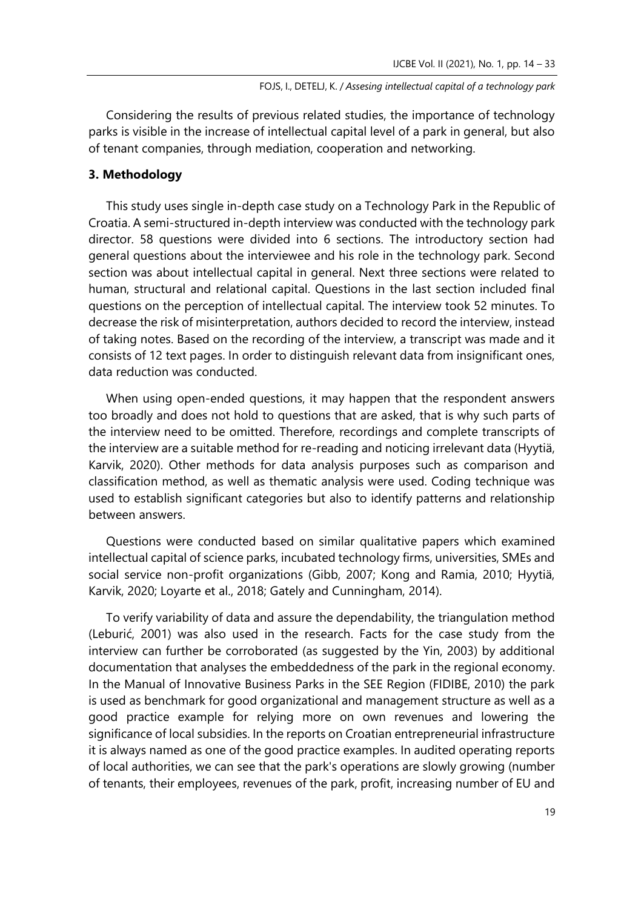Considering the results of previous related studies, the importance of technology parks is visible in the increase of intellectual capital level of a park in general, but also of tenant companies, through mediation, cooperation and networking.

### **3. Methodology**

This study uses single in-depth case study on a Technology Park in the Republic of Croatia. A semi-structured in-depth interview was conducted with the technology park director. 58 questions were divided into 6 sections. The introductory section had general questions about the interviewee and his role in the technology park. Second section was about intellectual capital in general. Next three sections were related to human, structural and relational capital. Questions in the last section included final questions on the perception of intellectual capital. The interview took 52 minutes. To decrease the risk of misinterpretation, authors decided to record the interview, instead of taking notes. Based on the recording of the interview, a transcript was made and it consists of 12 text pages. In order to distinguish relevant data from insignificant ones, data reduction was conducted.

When using open-ended questions, it may happen that the respondent answers too broadly and does not hold to questions that are asked, that is why such parts of the interview need to be omitted. Therefore, recordings and complete transcripts of the interview are a suitable method for re-reading and noticing irrelevant data (Hyytiä, Karvik, 2020). Other methods for data analysis purposes such as comparison and classification method, as well as thematic analysis were used. Coding technique was used to establish significant categories but also to identify patterns and relationship between answers.

Questions were conducted based on similar qualitative papers which examined intellectual capital of science parks, incubated technology firms, universities, SMEs and social service non-profit organizations (Gibb, 2007; Kong and Ramia, 2010; Hyytiä, Karvik, 2020; Loyarte et al., 2018; Gately and Cunningham, 2014).

To verify variability of data and assure the dependability, the triangulation method (Leburić, 2001) was also used in the research. Facts for the case study from the interview can further be corroborated (as suggested by the Yin, 2003) by additional documentation that analyses the embeddedness of the park in the regional economy. In the Manual of Innovative Business Parks in the SEE Region (FIDIBE, 2010) the park is used as benchmark for good organizational and management structure as well as a good practice example for relying more on own revenues and lowering the significance of local subsidies. In the reports on Croatian entrepreneurial infrastructure it is always named as one of the good practice examples. In audited operating reports of local authorities, we can see that the park's operations are slowly growing (number of tenants, their employees, revenues of the park, profit, increasing number of EU and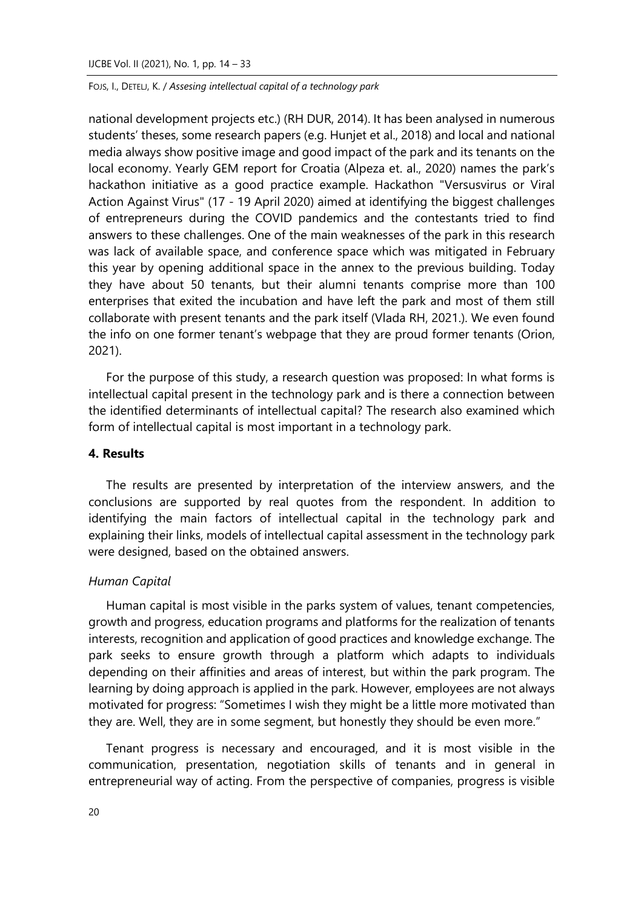national development projects etc.) (RH DUR, 2014). It has been analysed in numerous students' theses, some research papers (e.g. Hunjet et al., 2018) and local and national media always show positive image and good impact of the park and its tenants on the local economy. Yearly GEM report for Croatia (Alpeza et. al., 2020) names the park's hackathon initiative as a good practice example. Hackathon "Versusvirus or Viral Action Against Virus" (17 - 19 April 2020) aimed at identifying the biggest challenges of entrepreneurs during the COVID pandemics and the contestants tried to find answers to these challenges. One of the main weaknesses of the park in this research was lack of available space, and conference space which was mitigated in February this year by opening additional space in the annex to the previous building. Today they have about 50 tenants, but their alumni tenants comprise more than 100 enterprises that exited the incubation and have left the park and most of them still collaborate with present tenants and the park itself (Vlada RH, 2021.). We even found the info on one former tenant's webpage that they are proud former tenants (Orion, 2021).

For the purpose of this study, a research question was proposed: In what forms is intellectual capital present in the technology park and is there a connection between the identified determinants of intellectual capital? The research also examined which form of intellectual capital is most important in a technology park.

# **4. Results**

The results are presented by interpretation of the interview answers, and the conclusions are supported by real quotes from the respondent. In addition to identifying the main factors of intellectual capital in the technology park and explaining their links, models of intellectual capital assessment in the technology park were designed, based on the obtained answers.

#### *Human Capital*

Human capital is most visible in the parks system of values, tenant competencies, growth and progress, education programs and platforms for the realization of tenants interests, recognition and application of good practices and knowledge exchange. The park seeks to ensure growth through a platform which adapts to individuals depending on their affinities and areas of interest, but within the park program. The learning by doing approach is applied in the park. However, employees are not always motivated for progress: "Sometimes I wish they might be a little more motivated than they are. Well, they are in some segment, but honestly they should be even more."

Tenant progress is necessary and encouraged, and it is most visible in the communication, presentation, negotiation skills of tenants and in general in entrepreneurial way of acting. From the perspective of companies, progress is visible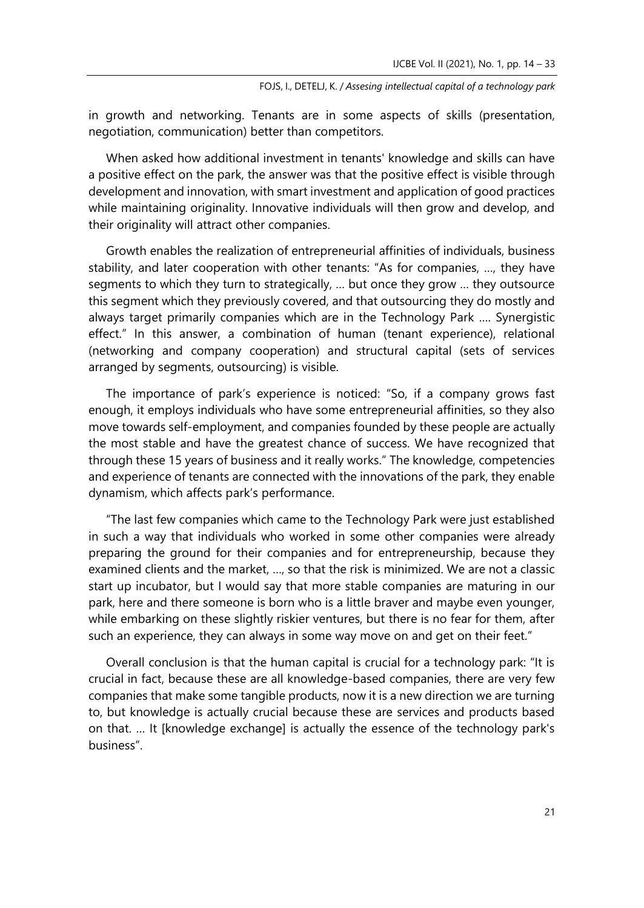in growth and networking. Tenants are in some aspects of skills (presentation, negotiation, communication) better than competitors.

When asked how additional investment in tenants' knowledge and skills can have a positive effect on the park, the answer was that the positive effect is visible through development and innovation, with smart investment and application of good practices while maintaining originality. Innovative individuals will then grow and develop, and their originality will attract other companies.

Growth enables the realization of entrepreneurial affinities of individuals, business stability, and later cooperation with other tenants: "As for companies, …, they have segments to which they turn to strategically, … but once they grow … they outsource this segment which they previously covered, and that outsourcing they do mostly and always target primarily companies which are in the Technology Park …. Synergistic effect." In this answer, a combination of human (tenant experience), relational (networking and company cooperation) and structural capital (sets of services arranged by segments, outsourcing) is visible.

The importance of park's experience is noticed: "So, if a company grows fast enough, it employs individuals who have some entrepreneurial affinities, so they also move towards self-employment, and companies founded by these people are actually the most stable and have the greatest chance of success. We have recognized that through these 15 years of business and it really works." The knowledge, competencies and experience of tenants are connected with the innovations of the park, they enable dynamism, which affects park's performance.

"The last few companies which came to the Technology Park were just established in such a way that individuals who worked in some other companies were already preparing the ground for their companies and for entrepreneurship, because they examined clients and the market, …, so that the risk is minimized. We are not a classic start up incubator, but I would say that more stable companies are maturing in our park, here and there someone is born who is a little braver and maybe even younger, while embarking on these slightly riskier ventures, but there is no fear for them, after such an experience, they can always in some way move on and get on their feet."

Overall conclusion is that the human capital is crucial for a technology park: "It is crucial in fact, because these are all knowledge-based companies, there are very few companies that make some tangible products, now it is a new direction we are turning to, but knowledge is actually crucial because these are services and products based on that. … It [knowledge exchange] is actually the essence of the technology park's business".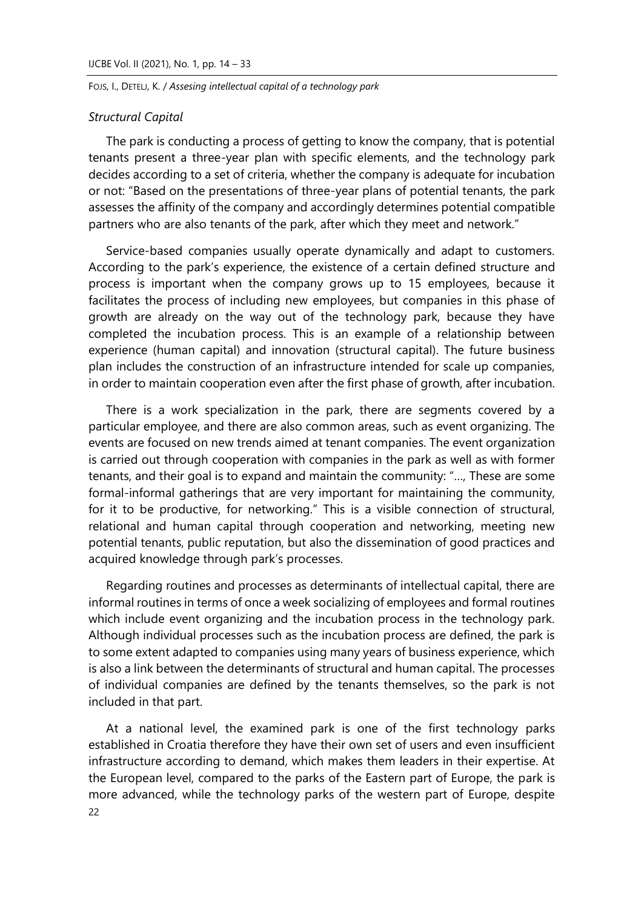# *Structural Capital*

The park is conducting a process of getting to know the company, that is potential tenants present a three-year plan with specific elements, and the technology park decides according to a set of criteria, whether the company is adequate for incubation or not: "Based on the presentations of three-year plans of potential tenants, the park assesses the affinity of the company and accordingly determines potential compatible partners who are also tenants of the park, after which they meet and network."

Service-based companies usually operate dynamically and adapt to customers. According to the park's experience, the existence of a certain defined structure and process is important when the company grows up to 15 employees, because it facilitates the process of including new employees, but companies in this phase of growth are already on the way out of the technology park, because they have completed the incubation process. This is an example of a relationship between experience (human capital) and innovation (structural capital). The future business plan includes the construction of an infrastructure intended for scale up companies, in order to maintain cooperation even after the first phase of growth, after incubation.

There is a work specialization in the park, there are segments covered by a particular employee, and there are also common areas, such as event organizing. The events are focused on new trends aimed at tenant companies. The event organization is carried out through cooperation with companies in the park as well as with former tenants, and their goal is to expand and maintain the community: "…, These are some formal-informal gatherings that are very important for maintaining the community, for it to be productive, for networking." This is a visible connection of structural, relational and human capital through cooperation and networking, meeting new potential tenants, public reputation, but also the dissemination of good practices and acquired knowledge through park's processes.

Regarding routines and processes as determinants of intellectual capital, there are informal routines in terms of once a week socializing of employees and formal routines which include event organizing and the incubation process in the technology park. Although individual processes such as the incubation process are defined, the park is to some extent adapted to companies using many years of business experience, which is also a link between the determinants of structural and human capital. The processes of individual companies are defined by the tenants themselves, so the park is not included in that part.

22 At a national level, the examined park is one of the first technology parks established in Croatia therefore they have their own set of users and even insufficient infrastructure according to demand, which makes them leaders in their expertise. At the European level, compared to the parks of the Eastern part of Europe, the park is more advanced, while the technology parks of the western part of Europe, despite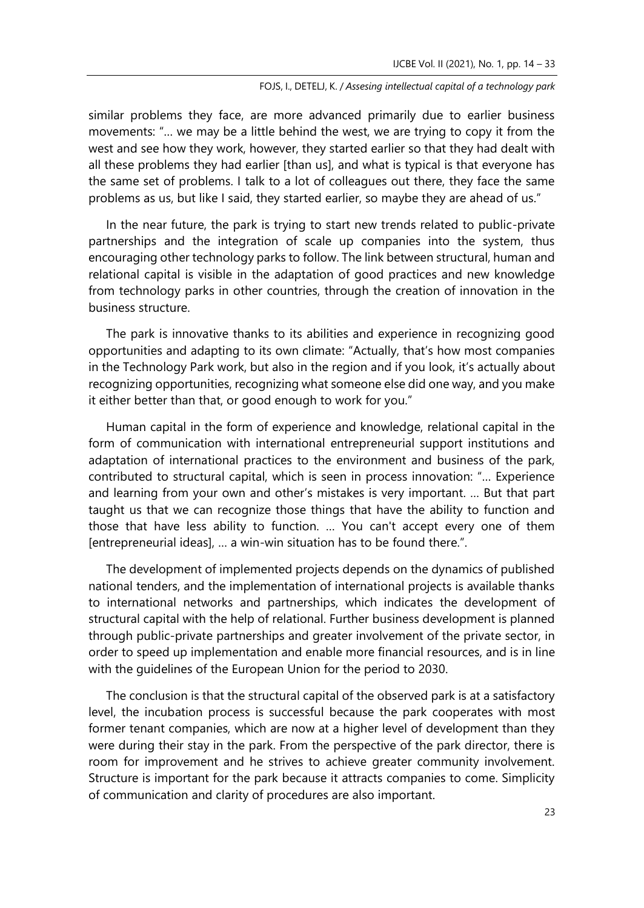similar problems they face, are more advanced primarily due to earlier business movements: "… we may be a little behind the west, we are trying to copy it from the west and see how they work, however, they started earlier so that they had dealt with all these problems they had earlier [than us], and what is typical is that everyone has the same set of problems. I talk to a lot of colleagues out there, they face the same problems as us, but like I said, they started earlier, so maybe they are ahead of us."

In the near future, the park is trying to start new trends related to public-private partnerships and the integration of scale up companies into the system, thus encouraging other technology parks to follow. The link between structural, human and relational capital is visible in the adaptation of good practices and new knowledge from technology parks in other countries, through the creation of innovation in the business structure.

The park is innovative thanks to its abilities and experience in recognizing good opportunities and adapting to its own climate: "Actually, that's how most companies in the Technology Park work, but also in the region and if you look, it's actually about recognizing opportunities, recognizing what someone else did one way, and you make it either better than that, or good enough to work for you."

Human capital in the form of experience and knowledge, relational capital in the form of communication with international entrepreneurial support institutions and adaptation of international practices to the environment and business of the park, contributed to structural capital, which is seen in process innovation: "… Experience and learning from your own and other's mistakes is very important. … But that part taught us that we can recognize those things that have the ability to function and those that have less ability to function. … You can't accept every one of them [entrepreneurial ideas], … a win-win situation has to be found there.".

The development of implemented projects depends on the dynamics of published national tenders, and the implementation of international projects is available thanks to international networks and partnerships, which indicates the development of structural capital with the help of relational. Further business development is planned through public-private partnerships and greater involvement of the private sector, in order to speed up implementation and enable more financial resources, and is in line with the guidelines of the European Union for the period to 2030.

The conclusion is that the structural capital of the observed park is at a satisfactory level, the incubation process is successful because the park cooperates with most former tenant companies, which are now at a higher level of development than they were during their stay in the park. From the perspective of the park director, there is room for improvement and he strives to achieve greater community involvement. Structure is important for the park because it attracts companies to come. Simplicity of communication and clarity of procedures are also important.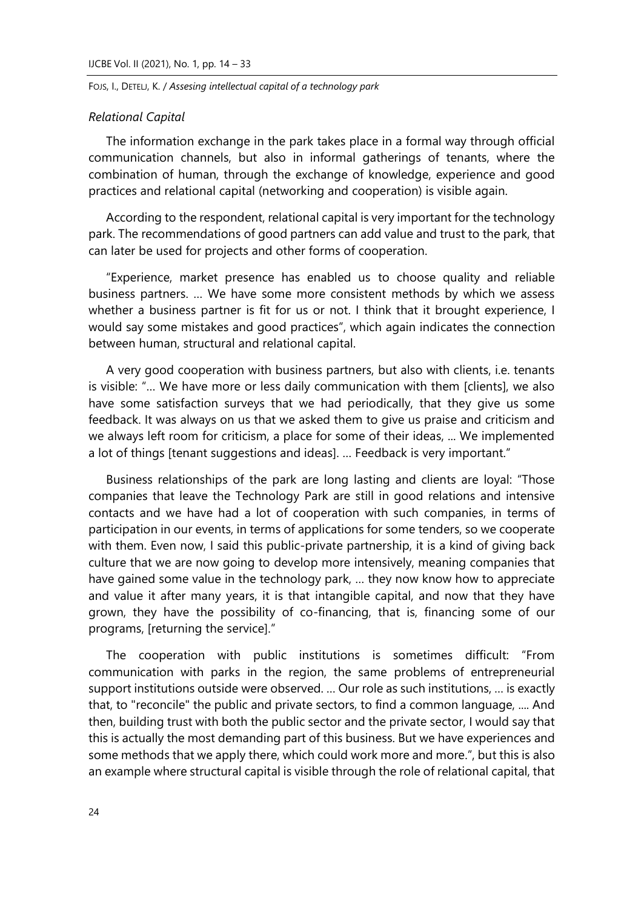### *Relational Capital*

The information exchange in the park takes place in a formal way through official communication channels, but also in informal gatherings of tenants, where the combination of human, through the exchange of knowledge, experience and good practices and relational capital (networking and cooperation) is visible again.

According to the respondent, relational capital is very important for the technology park. The recommendations of good partners can add value and trust to the park, that can later be used for projects and other forms of cooperation.

"Experience, market presence has enabled us to choose quality and reliable business partners. … We have some more consistent methods by which we assess whether a business partner is fit for us or not. I think that it brought experience, I would say some mistakes and good practices", which again indicates the connection between human, structural and relational capital.

A very good cooperation with business partners, but also with clients, i.e. tenants is visible: "… We have more or less daily communication with them [clients], we also have some satisfaction surveys that we had periodically, that they give us some feedback. It was always on us that we asked them to give us praise and criticism and we always left room for criticism, a place for some of their ideas, ... We implemented a lot of things [tenant suggestions and ideas]. … Feedback is very important."

Business relationships of the park are long lasting and clients are loyal: "Those companies that leave the Technology Park are still in good relations and intensive contacts and we have had a lot of cooperation with such companies, in terms of participation in our events, in terms of applications for some tenders, so we cooperate with them. Even now, I said this public-private partnership, it is a kind of giving back culture that we are now going to develop more intensively, meaning companies that have gained some value in the technology park, … they now know how to appreciate and value it after many years, it is that intangible capital, and now that they have grown, they have the possibility of co-financing, that is, financing some of our programs, [returning the service]."

The cooperation with public institutions is sometimes difficult: "From communication with parks in the region, the same problems of entrepreneurial support institutions outside were observed. … Our role as such institutions, … is exactly that, to "reconcile" the public and private sectors, to find a common language, .... And then, building trust with both the public sector and the private sector, I would say that this is actually the most demanding part of this business. But we have experiences and some methods that we apply there, which could work more and more.", but this is also an example where structural capital is visible through the role of relational capital, that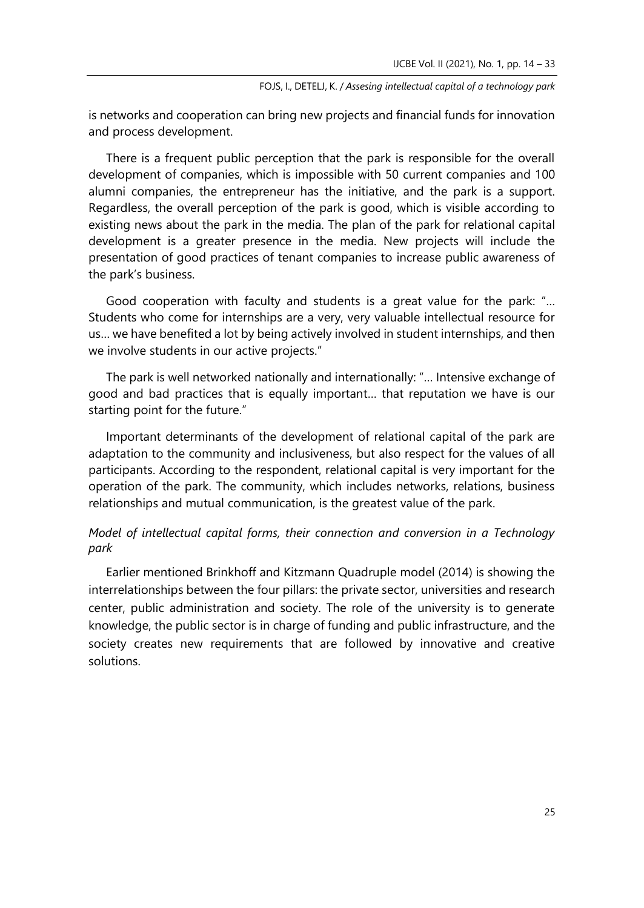is networks and cooperation can bring new projects and financial funds for innovation and process development.

There is a frequent public perception that the park is responsible for the overall development of companies, which is impossible with 50 current companies and 100 alumni companies, the entrepreneur has the initiative, and the park is a support. Regardless, the overall perception of the park is good, which is visible according to existing news about the park in the media. The plan of the park for relational capital development is a greater presence in the media. New projects will include the presentation of good practices of tenant companies to increase public awareness of the park's business.

Good cooperation with faculty and students is a great value for the park: "… Students who come for internships are a very, very valuable intellectual resource for us… we have benefited a lot by being actively involved in student internships, and then we involve students in our active projects."

The park is well networked nationally and internationally: "… Intensive exchange of good and bad practices that is equally important… that reputation we have is our starting point for the future."

Important determinants of the development of relational capital of the park are adaptation to the community and inclusiveness, but also respect for the values of all participants. According to the respondent, relational capital is very important for the operation of the park. The community, which includes networks, relations, business relationships and mutual communication, is the greatest value of the park.

# *Model of intellectual capital forms, their connection and conversion in a Technology park*

Earlier mentioned Brinkhoff and Kitzmann Quadruple model (2014) is showing the interrelationships between the four pillars: the private sector, universities and research center, public administration and society. The role of the university is to generate knowledge, the public sector is in charge of funding and public infrastructure, and the society creates new requirements that are followed by innovative and creative solutions.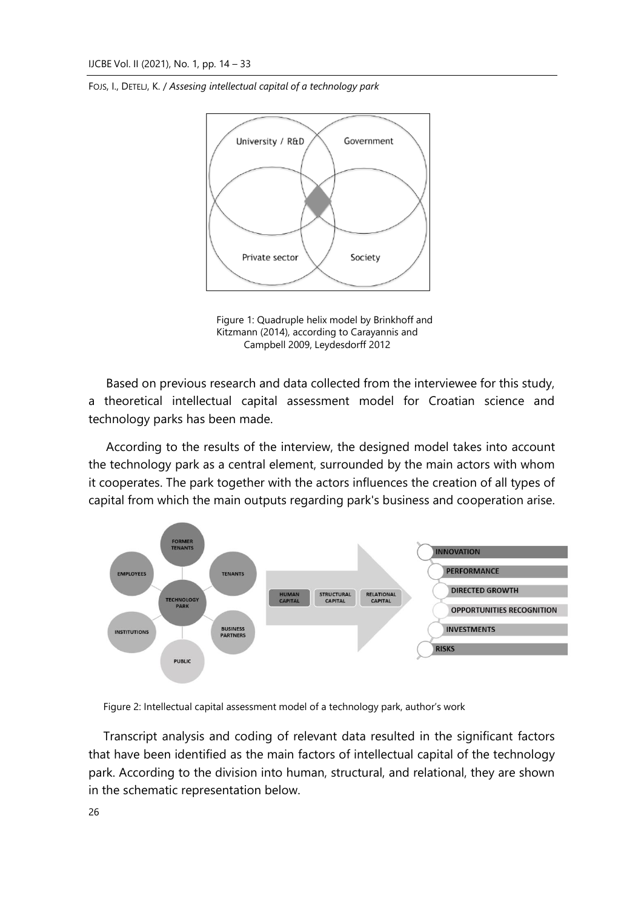

Figure 1: Quadruple helix model by Brinkhoff and Kitzmann (2014), according to Carayannis and Campbell 2009, Leydesdorff 2012

Based on previous research and data collected from the interviewee for this study, a theoretical intellectual capital assessment model for Croatian science and technology parks has been made.

According to the results of the interview, the designed model takes into account the technology park as a central element, surrounded by the main actors with whom it cooperates. The park together with the actors influences the creation of all types of capital from which the main outputs regarding park's business and cooperation arise.



Figure 2: Intellectual capital assessment model of a technology park, author's work

Transcript analysis and coding of relevant data resulted in the significant factors that have been identified as the main factors of intellectual capital of the technology park. According to the division into human, structural, and relational, they are shown in the schematic representation below.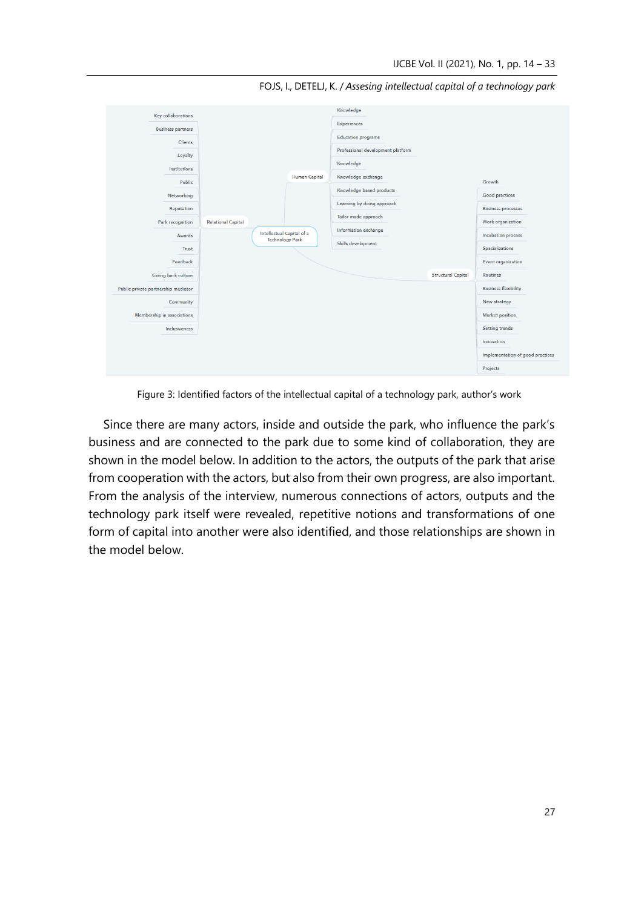

FOJS, I., DETELJ, K. / *Assesing intellectual capital of a technology park*

Figure 3: Identified factors of the intellectual capital of a technology park, author's work

Since there are many actors, inside and outside the park, who influence the park's business and are connected to the park due to some kind of collaboration, they are shown in the model below. In addition to the actors, the outputs of the park that arise from cooperation with the actors, but also from their own progress, are also important. From the analysis of the interview, numerous connections of actors, outputs and the technology park itself were revealed, repetitive notions and transformations of one form of capital into another were also identified, and those relationships are shown in the model below.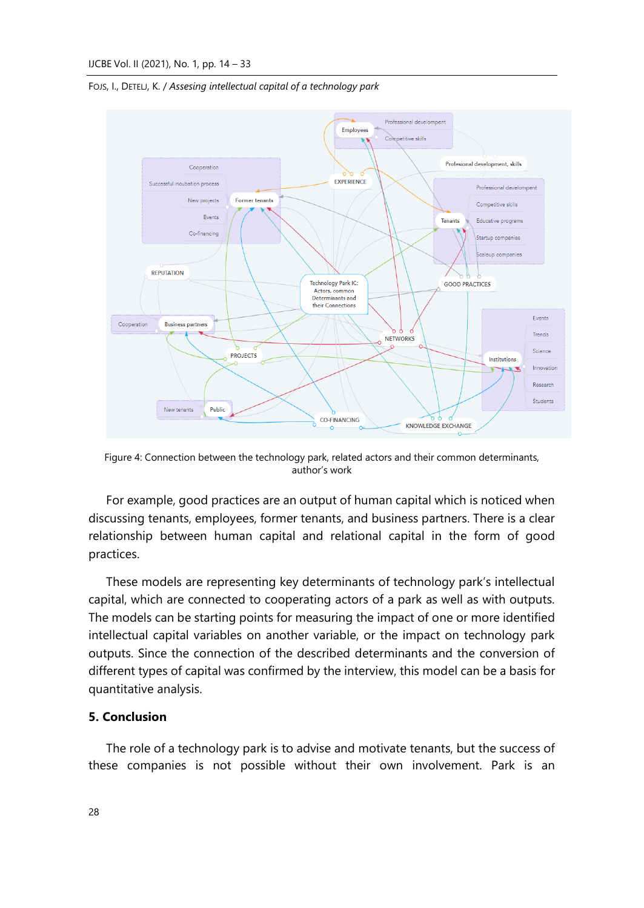

FOJS, I., DETELJ, K. / *Assesing intellectual capital of a technology park*

Figure 4: Connection between the technology park, related actors and their common determinants, author's work

For example, good practices are an output of human capital which is noticed when discussing tenants, employees, former tenants, and business partners. There is a clear relationship between human capital and relational capital in the form of good practices.

These models are representing key determinants of technology park's intellectual capital, which are connected to cooperating actors of a park as well as with outputs. The models can be starting points for measuring the impact of one or more identified intellectual capital variables on another variable, or the impact on technology park outputs. Since the connection of the described determinants and the conversion of different types of capital was confirmed by the interview, this model can be a basis for quantitative analysis.

# **5. Conclusion**

The role of a technology park is to advise and motivate tenants, but the success of these companies is not possible without their own involvement. Park is an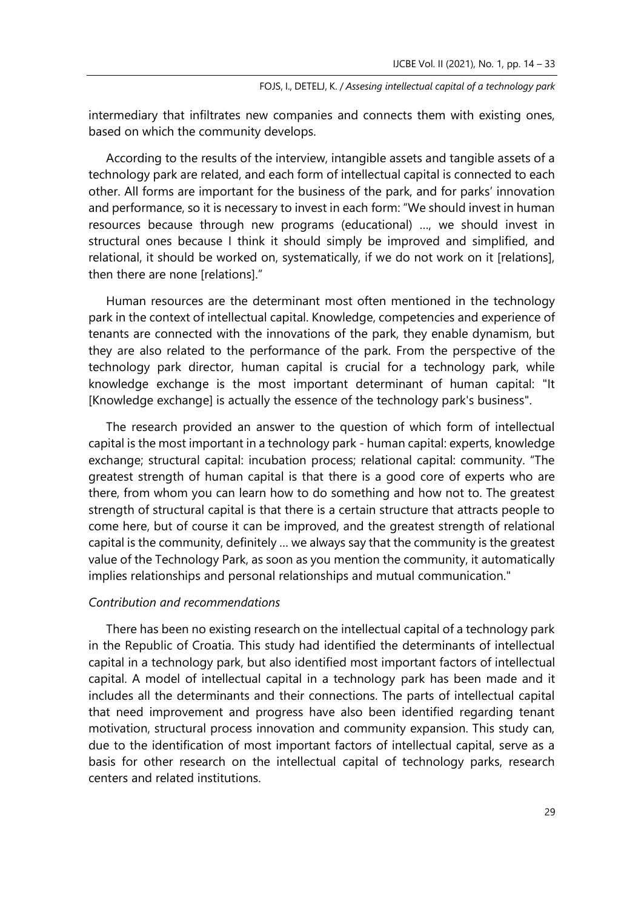intermediary that infiltrates new companies and connects them with existing ones, based on which the community develops.

According to the results of the interview, intangible assets and tangible assets of a technology park are related, and each form of intellectual capital is connected to each other. All forms are important for the business of the park, and for parks' innovation and performance, so it is necessary to invest in each form: "We should invest in human resources because through new programs (educational) …, we should invest in structural ones because I think it should simply be improved and simplified, and relational, it should be worked on, systematically, if we do not work on it [relations], then there are none [relations]."

Human resources are the determinant most often mentioned in the technology park in the context of intellectual capital. Knowledge, competencies and experience of tenants are connected with the innovations of the park, they enable dynamism, but they are also related to the performance of the park. From the perspective of the technology park director, human capital is crucial for a technology park, while knowledge exchange is the most important determinant of human capital: "It [Knowledge exchange] is actually the essence of the technology park's business".

The research provided an answer to the question of which form of intellectual capital is the most important in a technology park - human capital: experts, knowledge exchange; structural capital: incubation process; relational capital: community. "The greatest strength of human capital is that there is a good core of experts who are there, from whom you can learn how to do something and how not to. The greatest strength of structural capital is that there is a certain structure that attracts people to come here, but of course it can be improved, and the greatest strength of relational capital is the community, definitely … we always say that the community is the greatest value of the Technology Park, as soon as you mention the community, it automatically implies relationships and personal relationships and mutual communication."

# *Contribution and recommendations*

There has been no existing research on the intellectual capital of a technology park in the Republic of Croatia. This study had identified the determinants of intellectual capital in a technology park, but also identified most important factors of intellectual capital. A model of intellectual capital in a technology park has been made and it includes all the determinants and their connections. The parts of intellectual capital that need improvement and progress have also been identified regarding tenant motivation, structural process innovation and community expansion. This study can, due to the identification of most important factors of intellectual capital, serve as a basis for other research on the intellectual capital of technology parks, research centers and related institutions.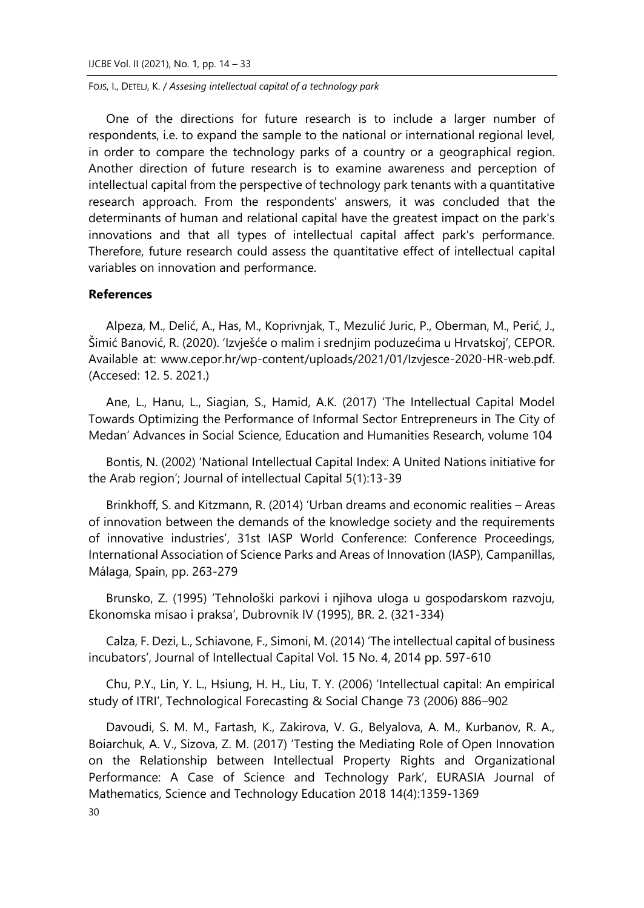One of the directions for future research is to include a larger number of respondents, i.e. to expand the sample to the national or international regional level, in order to compare the technology parks of a country or a geographical region. Another direction of future research is to examine awareness and perception of intellectual capital from the perspective of technology park tenants with a quantitative research approach. From the respondents' answers, it was concluded that the determinants of human and relational capital have the greatest impact on the park's innovations and that all types of intellectual capital affect park's performance. Therefore, future research could assess the quantitative effect of intellectual capital variables on innovation and performance.

# **References**

Alpeza, M., Delić, A., Has, M., Koprivnjak, T., Mezulić Juric, P., Oberman, M., Perić, J., Šimić Banović, R. (2020). 'Izvješće o malim i srednjim poduzećima u Hrvatskoj', CEPOR. Available at: www.cepor.hr/wp-content/uploads/2021/01/Izvjesce-2020-HR-web.pdf. (Accesed: 12. 5. 2021.)

Ane, L., Hanu, L., Siagian, S., Hamid, A.K. (2017) 'The Intellectual Capital Model Towards Optimizing the Performance of Informal Sector Entrepreneurs in The City of Medan' Advances in Social Science, Education and Humanities Research, volume 104

Bontis, N. (2002) 'National Intellectual Capital Index: A United Nations initiative for the Arab region'; Journal of intellectual Capital 5(1):13-39

Brinkhoff, S. and Kitzmann, R. (2014) 'Urban dreams and economic realities – Areas of innovation between the demands of the knowledge society and the requirements of innovative industries', 31st IASP World Conference: Conference Proceedings, International Association of Science Parks and Areas of Innovation (IASP), Campanillas, Málaga, Spain, pp. 263-279

Brunsko, Z. (1995) 'Tehnološki parkovi i njihova uloga u gospodarskom razvoju, Ekonomska misao i praksa', Dubrovnik IV (1995), BR. 2. (321-334)

Calza, F. Dezi, L., Schiavone, F., Simoni, M. (2014) 'The intellectual capital of business incubators', Journal of Intellectual Capital Vol. 15 No. 4, 2014 pp. 597-610

Chu, P.Y., Lin, Y. L., Hsiung, H. H., Liu, T. Y. (2006) 'Intellectual capital: An empirical study of ITRI', Technological Forecasting & Social Change 73 (2006) 886–902

30 Davoudi, S. M. M., Fartash, K., Zakirova, V. G., Belyalova, A. M., Kurbanov, R. A., Boiarchuk, A. V., Sizova, Z. M. (2017) 'Testing the Mediating Role of Open Innovation on the Relationship between Intellectual Property Rights and Organizational Performance: A Case of Science and Technology Park', EURASIA Journal of Mathematics, Science and Technology Education 2018 14(4):1359-1369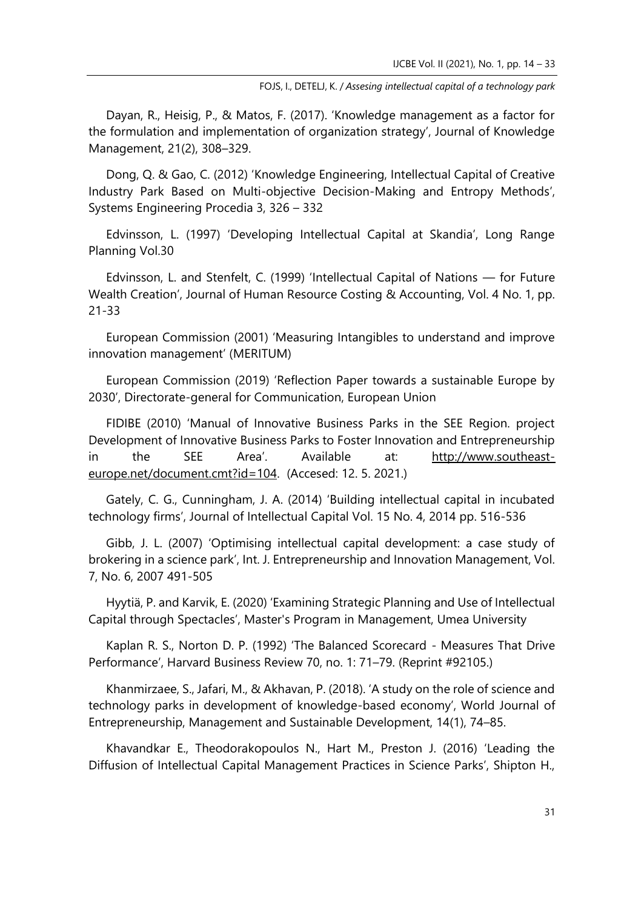Dayan, R., Heisig, P., & Matos, F. (2017). 'Knowledge management as a factor for the formulation and implementation of organization strategy', Journal of Knowledge Management, 21(2), 308–329.

Dong, Q. & Gao, C. (2012) 'Knowledge Engineering, Intellectual Capital of Creative Industry Park Based on Multi-objective Decision-Making and Entropy Methods', Systems Engineering Procedia 3, 326 – 332

Edvinsson, L. (1997) 'Developing Intellectual Capital at Skandia', Long Range Planning Vol.30

Edvinsson, L. and Stenfelt, C. (1999) 'Intellectual Capital of Nations — for Future Wealth Creation', Journal of Human Resource Costing & Accounting, Vol. 4 No. 1, pp. 21-33

European Commission (2001) 'Measuring Intangibles to understand and improve innovation management' (MERITUM)

European Commission (2019) 'Reflection Paper towards a sustainable Europe by 2030', Directorate-general for Communication, European Union

FIDIBE (2010) 'Manual of Innovative Business Parks in the SEE Region. project Development of Innovative Business Parks to Foster Innovation and Entrepreneurship in the SEE Area'. Available at: [http://www.southeast](http://www.southeast-europe.net/document.cmt?id=104)[europe.net/document.cmt?id=104.](http://www.southeast-europe.net/document.cmt?id=104) (Accesed: 12. 5. 2021.)

Gately, C. G., Cunningham, J. A. (2014) 'Building intellectual capital in incubated technology firms', Journal of Intellectual Capital Vol. 15 No. 4, 2014 pp. 516-536

Gibb, J. L. (2007) 'Optimising intellectual capital development: a case study of brokering in a science park', Int. J. Entrepreneurship and Innovation Management, Vol. 7, No. 6, 2007 491-505

Hyytiä, P. and Karvik, E. (2020) 'Examining Strategic Planning and Use of Intellectual Capital through Spectacles', Master's Program in Management, Umea University

Kaplan R. S., Norton D. P. (1992) 'The Balanced Scorecard - Measures That Drive Performance', Harvard Business Review 70, no. 1: 71–79. (Reprint #92105.)

Khanmirzaee, S., Jafari, M., & Akhavan, P. (2018). 'A study on the role of science and technology parks in development of knowledge-based economy', World Journal of Entrepreneurship, Management and Sustainable Development, 14(1), 74–85.

Khavandkar E., Theodorakopoulos N., Hart M., Preston J. (2016) 'Leading the Diffusion of Intellectual Capital Management Practices in Science Parks', Shipton H.,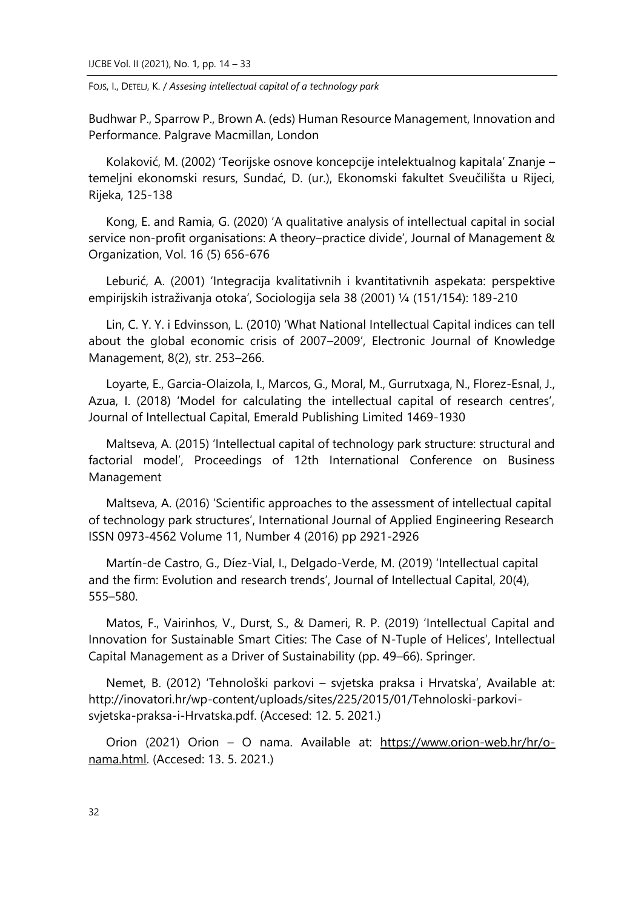Budhwar P., Sparrow P., Brown A. (eds) Human Resource Management, Innovation and Performance. Palgrave Macmillan, London

Kolaković, M. (2002) 'Teorijske osnove koncepcije intelektualnog kapitala' Znanje – temeljni ekonomski resurs, Sundać, D. (ur.), Ekonomski fakultet Sveučilišta u Rijeci, Rijeka, 125-138

Kong, E. and Ramia, G. (2020) 'A qualitative analysis of intellectual capital in social service non-profit organisations: A theory–practice divide', Journal of Management & Organization, Vol. 16 (5) 656-676

Leburić, A. (2001) 'Integracija kvalitativnih i kvantitativnih aspekata: perspektive empirijskih istraživanja otoka', Sociologija sela 38 (2001) ¼ (151/154): 189-210

Lin, C. Y. Y. i Edvinsson, L. (2010) 'What National Intellectual Capital indices can tell about the global economic crisis of 2007–2009', Electronic Journal of Knowledge Management, 8(2), str. 253–266.

Loyarte, E., Garcia-Olaizola, I., Marcos, G., Moral, M., Gurrutxaga, N., Florez-Esnal, J., Azua, I. (2018) 'Model for calculating the intellectual capital of research centres', Journal of Intellectual Capital, Emerald Publishing Limited 1469-1930

Maltseva, A. (2015) 'Intellectual capital of technology park structure: structural and factorial model', Proceedings of 12th International Conference on Business Management

Maltseva, A. (2016) 'Scientific approaches to the assessment of intellectual capital of technology park structures', International Journal of Applied Engineering Research ISSN 0973-4562 Volume 11, Number 4 (2016) pp 2921-2926

Martín-de Castro, G., Díez-Vial, I., Delgado-Verde, M. (2019) 'Intellectual capital and the firm: Evolution and research trends', Journal of Intellectual Capital, 20(4), 555–580.

Matos, F., Vairinhos, V., Durst, S., & Dameri, R. P. (2019) 'Intellectual Capital and Innovation for Sustainable Smart Cities: The Case of N-Tuple of Helices', Intellectual Capital Management as a Driver of Sustainability (pp. 49–66). Springer.

Nemet, B. (2012) 'Tehnološki parkovi – svjetska praksa i Hrvatska', Available at: http://inovatori.hr/wp-content/uploads/sites/225/2015/01/Tehnoloski-parkovisvjetska-praksa-i-Hrvatska.pdf. (Accesed: 12. 5. 2021.)

Orion (2021) Orion – O nama. Available at: [https://www.orion-web.hr/hr/o](https://www.orion-web.hr/hr/o-nama.html)[nama.html.](https://www.orion-web.hr/hr/o-nama.html) (Accesed: 13. 5. 2021.)